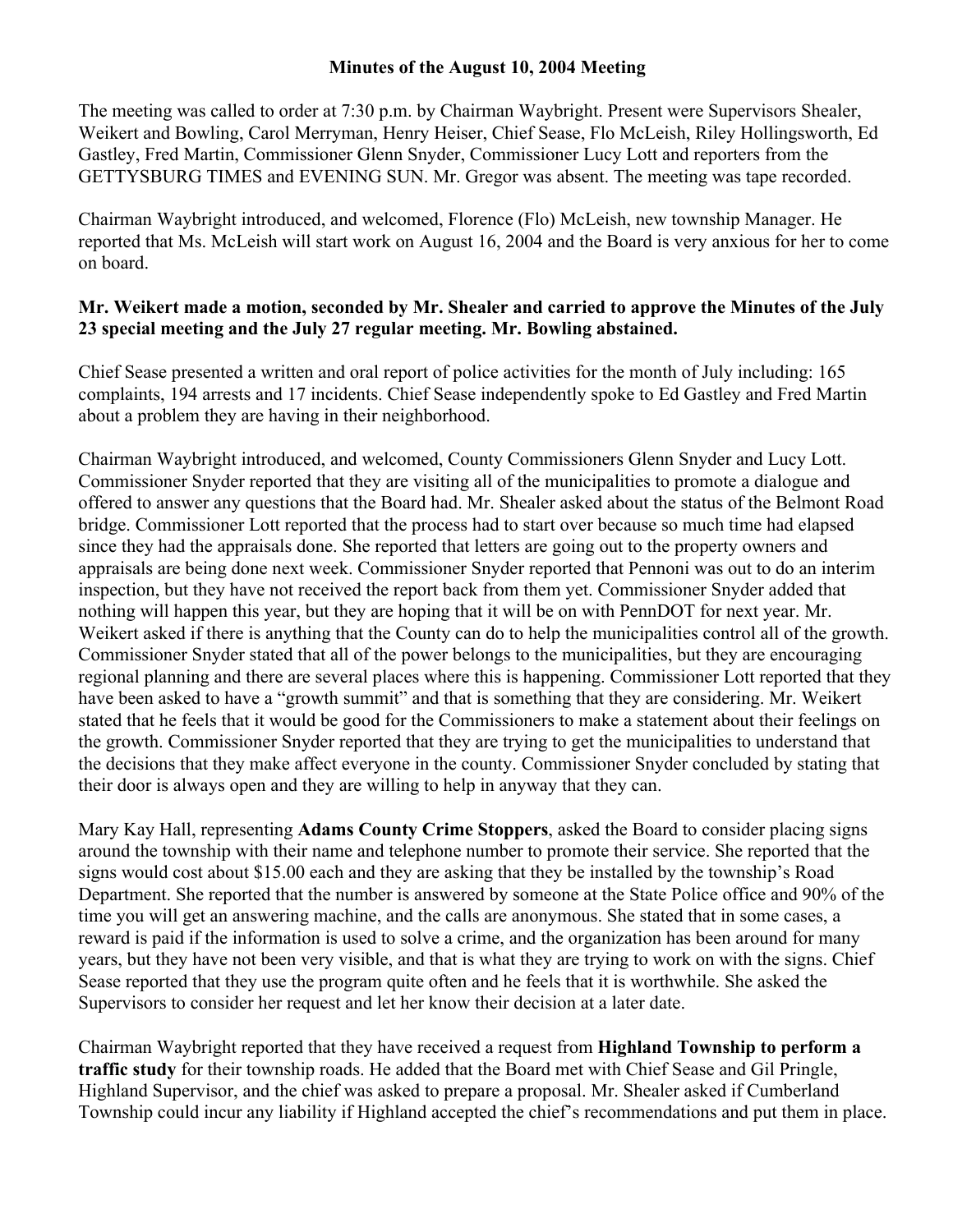## **Minutes of the August 10, 2004 Meeting**

The meeting was called to order at 7:30 p.m. by Chairman Waybright. Present were Supervisors Shealer, Weikert and Bowling, Carol Merryman, Henry Heiser, Chief Sease, Flo McLeish, Riley Hollingsworth, Ed Gastley, Fred Martin, Commissioner Glenn Snyder, Commissioner Lucy Lott and reporters from the GETTYSBURG TIMES and EVENING SUN. Mr. Gregor was absent. The meeting was tape recorded.

Chairman Waybright introduced, and welcomed, Florence (Flo) McLeish, new township Manager. He reported that Ms. McLeish will start work on August 16, 2004 and the Board is very anxious for her to come on board.

## **Mr. Weikert made a motion, seconded by Mr. Shealer and carried to approve the Minutes of the July 23 special meeting and the July 27 regular meeting. Mr. Bowling abstained.**

Chief Sease presented a written and oral report of police activities for the month of July including: 165 complaints, 194 arrests and 17 incidents. Chief Sease independently spoke to Ed Gastley and Fred Martin about a problem they are having in their neighborhood.

Chairman Waybright introduced, and welcomed, County Commissioners Glenn Snyder and Lucy Lott. Commissioner Snyder reported that they are visiting all of the municipalities to promote a dialogue and offered to answer any questions that the Board had. Mr. Shealer asked about the status of the Belmont Road bridge. Commissioner Lott reported that the process had to start over because so much time had elapsed since they had the appraisals done. She reported that letters are going out to the property owners and appraisals are being done next week. Commissioner Snyder reported that Pennoni was out to do an interim inspection, but they have not received the report back from them yet. Commissioner Snyder added that nothing will happen this year, but they are hoping that it will be on with PennDOT for next year. Mr. Weikert asked if there is anything that the County can do to help the municipalities control all of the growth. Commissioner Snyder stated that all of the power belongs to the municipalities, but they are encouraging regional planning and there are several places where this is happening. Commissioner Lott reported that they have been asked to have a "growth summit" and that is something that they are considering. Mr. Weikert stated that he feels that it would be good for the Commissioners to make a statement about their feelings on the growth. Commissioner Snyder reported that they are trying to get the municipalities to understand that the decisions that they make affect everyone in the county. Commissioner Snyder concluded by stating that their door is always open and they are willing to help in anyway that they can.

Mary Kay Hall, representing **Adams County Crime Stoppers**, asked the Board to consider placing signs around the township with their name and telephone number to promote their service. She reported that the signs would cost about \$15.00 each and they are asking that they be installed by the township's Road Department. She reported that the number is answered by someone at the State Police office and 90% of the time you will get an answering machine, and the calls are anonymous. She stated that in some cases, a reward is paid if the information is used to solve a crime, and the organization has been around for many years, but they have not been very visible, and that is what they are trying to work on with the signs. Chief Sease reported that they use the program quite often and he feels that it is worthwhile. She asked the Supervisors to consider her request and let her know their decision at a later date.

Chairman Waybright reported that they have received a request from **Highland Township to perform a traffic study** for their township roads. He added that the Board met with Chief Sease and Gil Pringle, Highland Supervisor, and the chief was asked to prepare a proposal. Mr. Shealer asked if Cumberland Township could incur any liability if Highland accepted the chief's recommendations and put them in place.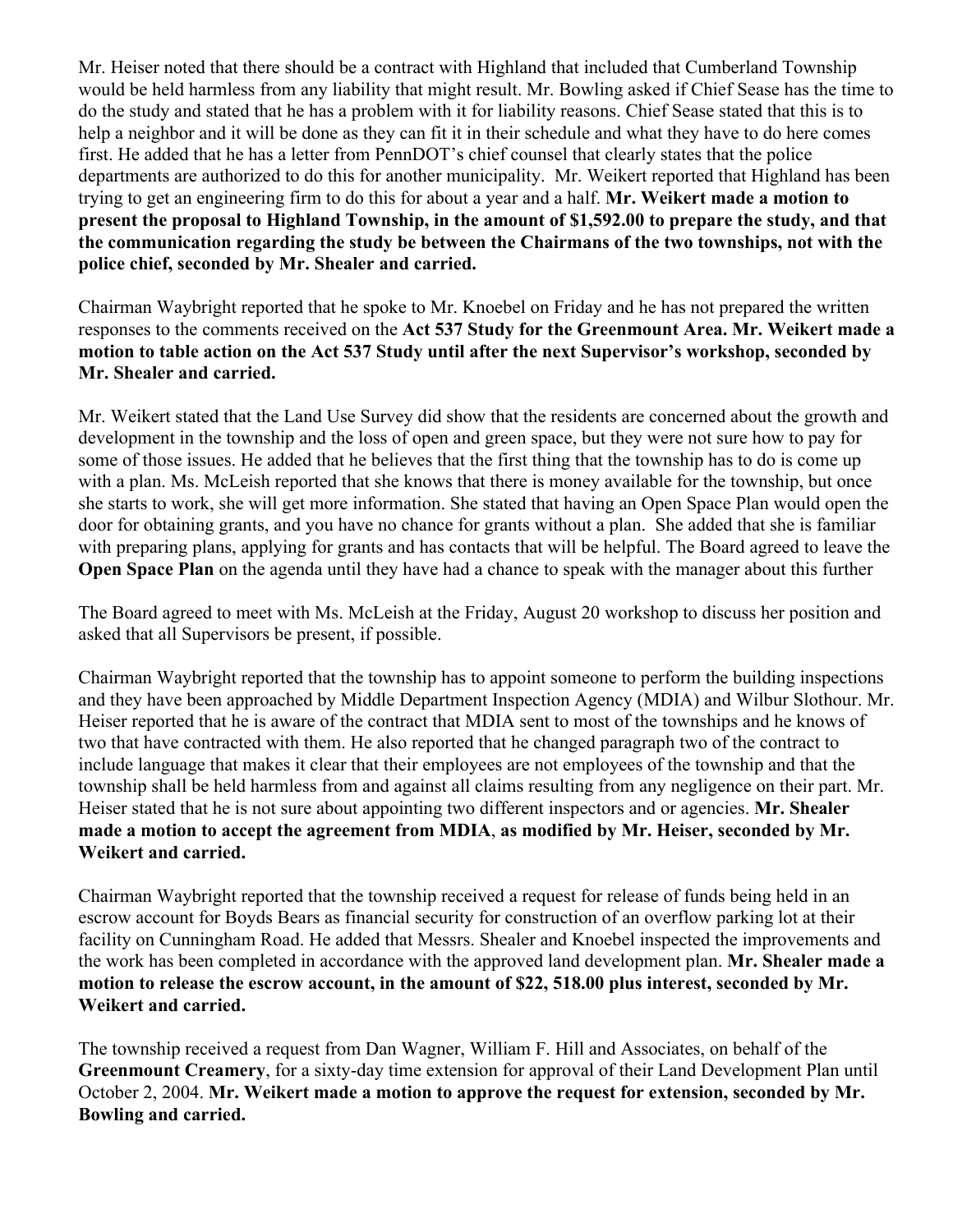Mr. Heiser noted that there should be a contract with Highland that included that Cumberland Township would be held harmless from any liability that might result. Mr. Bowling asked if Chief Sease has the time to do the study and stated that he has a problem with it for liability reasons. Chief Sease stated that this is to help a neighbor and it will be done as they can fit it in their schedule and what they have to do here comes first. He added that he has a letter from PennDOT's chief counsel that clearly states that the police departments are authorized to do this for another municipality. Mr. Weikert reported that Highland has been trying to get an engineering firm to do this for about a year and a half. **Mr. Weikert made a motion to present the proposal to Highland Township, in the amount of \$1,592.00 to prepare the study, and that the communication regarding the study be between the Chairmans of the two townships, not with the police chief, seconded by Mr. Shealer and carried.** 

Chairman Waybright reported that he spoke to Mr. Knoebel on Friday and he has not prepared the written responses to the comments received on the **Act 537 Study for the Greenmount Area. Mr. Weikert made a motion to table action on the Act 537 Study until after the next Supervisor's workshop, seconded by Mr. Shealer and carried.** 

Mr. Weikert stated that the Land Use Survey did show that the residents are concerned about the growth and development in the township and the loss of open and green space, but they were not sure how to pay for some of those issues. He added that he believes that the first thing that the township has to do is come up with a plan. Ms. McLeish reported that she knows that there is money available for the township, but once she starts to work, she will get more information. She stated that having an Open Space Plan would open the door for obtaining grants, and you have no chance for grants without a plan. She added that she is familiar with preparing plans, applying for grants and has contacts that will be helpful. The Board agreed to leave the **Open Space Plan** on the agenda until they have had a chance to speak with the manager about this further

The Board agreed to meet with Ms. McLeish at the Friday, August 20 workshop to discuss her position and asked that all Supervisors be present, if possible.

Chairman Waybright reported that the township has to appoint someone to perform the building inspections and they have been approached by Middle Department Inspection Agency (MDIA) and Wilbur Slothour. Mr. Heiser reported that he is aware of the contract that MDIA sent to most of the townships and he knows of two that have contracted with them. He also reported that he changed paragraph two of the contract to include language that makes it clear that their employees are not employees of the township and that the township shall be held harmless from and against all claims resulting from any negligence on their part. Mr. Heiser stated that he is not sure about appointing two different inspectors and or agencies. **Mr. Shealer made a motion to accept the agreement from MDIA**, **as modified by Mr. Heiser, seconded by Mr. Weikert and carried.** 

Chairman Waybright reported that the township received a request for release of funds being held in an escrow account for Boyds Bears as financial security for construction of an overflow parking lot at their facility on Cunningham Road. He added that Messrs. Shealer and Knoebel inspected the improvements and the work has been completed in accordance with the approved land development plan. **Mr. Shealer made a motion to release the escrow account, in the amount of \$22, 518.00 plus interest, seconded by Mr. Weikert and carried.** 

The township received a request from Dan Wagner, William F. Hill and Associates, on behalf of the **Greenmount Creamery**, for a sixty-day time extension for approval of their Land Development Plan until October 2, 2004. **Mr. Weikert made a motion to approve the request for extension, seconded by Mr. Bowling and carried.**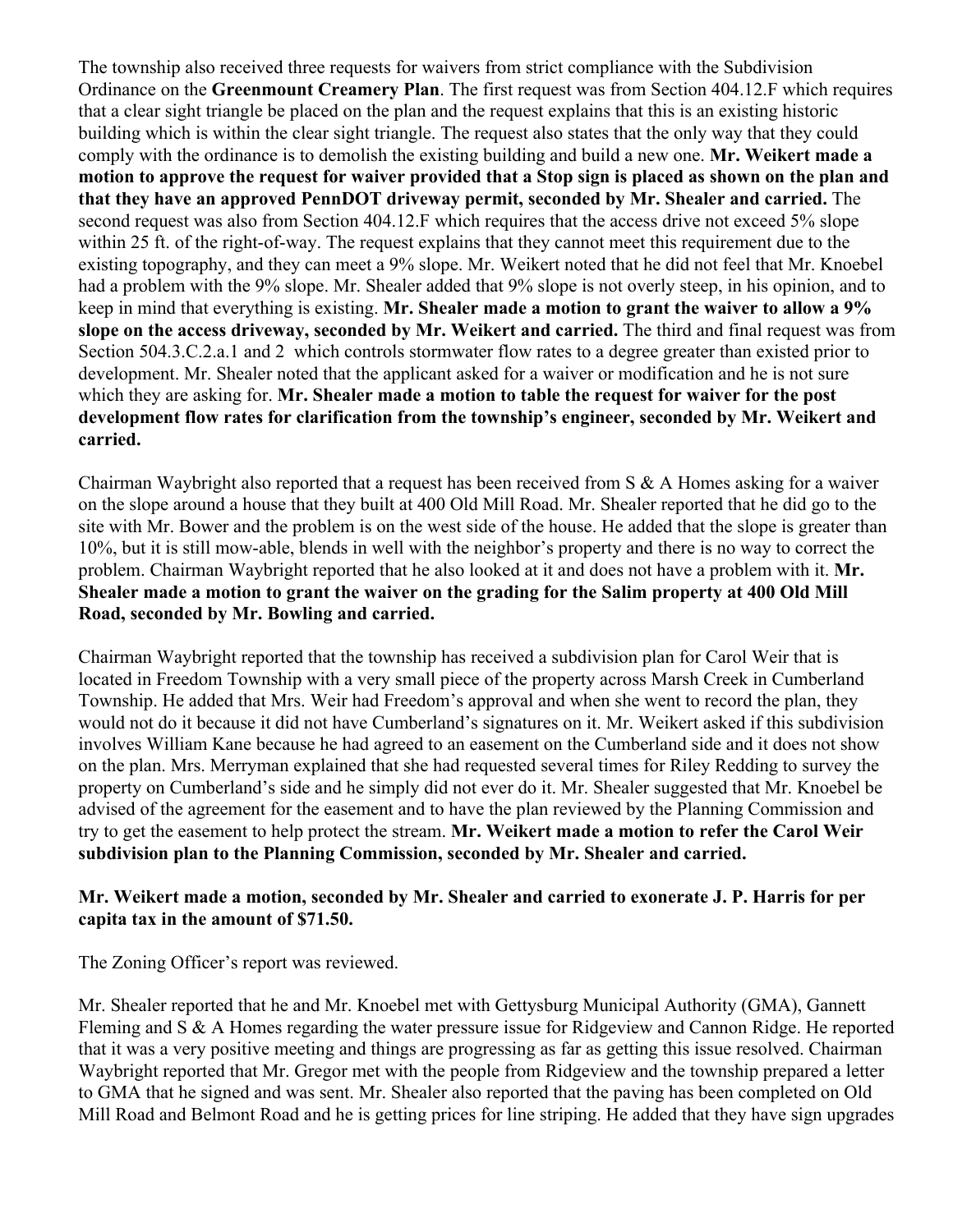The township also received three requests for waivers from strict compliance with the Subdivision Ordinance on the **Greenmount Creamery Plan**. The first request was from Section 404.12.F which requires that a clear sight triangle be placed on the plan and the request explains that this is an existing historic building which is within the clear sight triangle. The request also states that the only way that they could comply with the ordinance is to demolish the existing building and build a new one. **Mr. Weikert made a motion to approve the request for waiver provided that a Stop sign is placed as shown on the plan and that they have an approved PennDOT driveway permit, seconded by Mr. Shealer and carried.** The second request was also from Section 404.12.F which requires that the access drive not exceed 5% slope within 25 ft. of the right-of-way. The request explains that they cannot meet this requirement due to the existing topography, and they can meet a 9% slope. Mr. Weikert noted that he did not feel that Mr. Knoebel had a problem with the 9% slope. Mr. Shealer added that 9% slope is not overly steep, in his opinion, and to keep in mind that everything is existing. **Mr. Shealer made a motion to grant the waiver to allow a 9% slope on the access driveway, seconded by Mr. Weikert and carried.** The third and final request was from Section 504.3.C.2.a.1 and 2 which controls stormwater flow rates to a degree greater than existed prior to development. Mr. Shealer noted that the applicant asked for a waiver or modification and he is not sure which they are asking for. **Mr. Shealer made a motion to table the request for waiver for the post development flow rates for clarification from the township's engineer, seconded by Mr. Weikert and carried.** 

Chairman Waybright also reported that a request has been received from S & A Homes asking for a waiver on the slope around a house that they built at 400 Old Mill Road. Mr. Shealer reported that he did go to the site with Mr. Bower and the problem is on the west side of the house. He added that the slope is greater than 10%, but it is still mow-able, blends in well with the neighbor's property and there is no way to correct the problem. Chairman Waybright reported that he also looked at it and does not have a problem with it. **Mr. Shealer made a motion to grant the waiver on the grading for the Salim property at 400 Old Mill Road, seconded by Mr. Bowling and carried.** 

Chairman Waybright reported that the township has received a subdivision plan for Carol Weir that is located in Freedom Township with a very small piece of the property across Marsh Creek in Cumberland Township. He added that Mrs. Weir had Freedom's approval and when she went to record the plan, they would not do it because it did not have Cumberland's signatures on it. Mr. Weikert asked if this subdivision involves William Kane because he had agreed to an easement on the Cumberland side and it does not show on the plan. Mrs. Merryman explained that she had requested several times for Riley Redding to survey the property on Cumberland's side and he simply did not ever do it. Mr. Shealer suggested that Mr. Knoebel be advised of the agreement for the easement and to have the plan reviewed by the Planning Commission and try to get the easement to help protect the stream. **Mr. Weikert made a motion to refer the Carol Weir subdivision plan to the Planning Commission, seconded by Mr. Shealer and carried.** 

## **Mr. Weikert made a motion, seconded by Mr. Shealer and carried to exonerate J. P. Harris for per capita tax in the amount of \$71.50.**

The Zoning Officer's report was reviewed.

Mr. Shealer reported that he and Mr. Knoebel met with Gettysburg Municipal Authority (GMA), Gannett Fleming and S & A Homes regarding the water pressure issue for Ridgeview and Cannon Ridge. He reported that it was a very positive meeting and things are progressing as far as getting this issue resolved. Chairman Waybright reported that Mr. Gregor met with the people from Ridgeview and the township prepared a letter to GMA that he signed and was sent. Mr. Shealer also reported that the paving has been completed on Old Mill Road and Belmont Road and he is getting prices for line striping. He added that they have sign upgrades